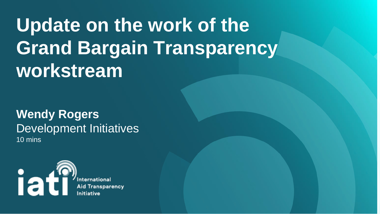# **Update on the work of the Grand Bargain Transparency workstream**

## **Wendy Rogers**  Development Initiatives 10 mins



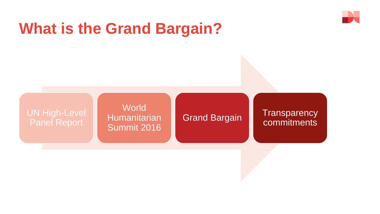# **What is the Grand Bargain?**

### UN High-Level Panel Report

**World** Humanitarian Summit 2016

### **Transparency** commitments



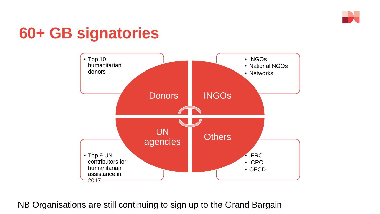## **60+ GB signatories**



NB Organisations are still continuing to sign up to the Grand Bargain

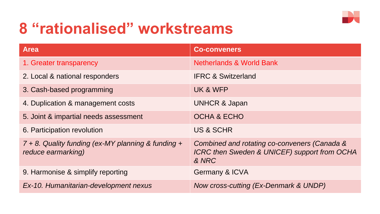## **8 "rationalised" workstreams**

#### **Area Co-conveners**

1. Greater transparency and the settlement of the Netherlands & World Bank

- 
- 2. Local & national responders IFRC & Switzerland
- 3. Cash-based programming UK & WFP
- 4. Duplication & management costs UNHCR & Japan
- 5. Joint & impartial needs assessment CCHA & ECHO
- 6. Participation revolution **Example 2018** US & SCHR

*7 + 8. Quality funding (ex-MY planning & funding + reduce earmarking)*

9. Harmonise & simplify reporting Germany & ICVA



*Combined and rotating co-conveners (Canada & ICRC then Sweden & UNICEF) support from OCHA & NRC*

*Ex-10. Humanitarian-development nexus Now cross-cutting (Ex-Denmark & UNDP)*

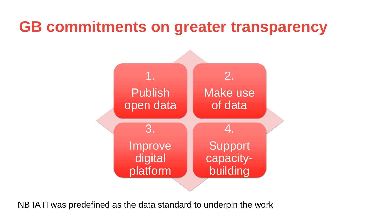## **GB commitments on greater transparency**





3. Improve digital platform

Support capacitybuilding

NB IATI was predefined as the data standard to underpin the work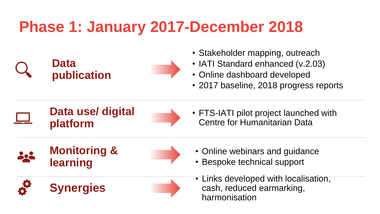## **Phase 1: January 2017-December 2018**

## **Data publication**

- Stakeholder mapping, outreach
- IATI Standard enhanced (v.2.03)
- Online dashboard developed
- 2017 baseline, 2018 progress reports
- FTS-IATI pilot project launched with Centre for Humanitarian Data
- Online webinars and guidance
- Bespoke technical support
- Links developed with localisation, cash, reduced earmarking, harmonisation

## **Data use/ digital platform**

## **Monitoring & learning**

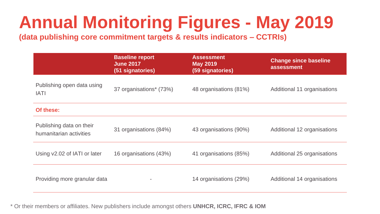## **Annual Monitoring Figures - May 2019 (data publishing core commitment targets & results indicators – CCTRIs)**

**Assessment May 2019 (59 signatories)**

**Change since baseline assessment**

48 organisations (81%) 48 organisations (81%) 48

43 organisations (90%) 43 organisations (90%)

41 organisations (85%) 41 organisations (85%) 41 organisations

14 organisations (29%) **Additional 14 organisations** 

|                                                     | <b>Baseline report</b><br><b>June 2017</b><br>(51 signatories) |
|-----------------------------------------------------|----------------------------------------------------------------|
| Publishing open data using<br><b>IATI</b>           | 37 organisations <sup>*</sup> (73%)                            |
| Of these:                                           |                                                                |
| Publishing data on their<br>humanitarian activities | 31 organisations (84%)                                         |
| Using v2.02 of IATI or later                        | 16 organisations (43%)                                         |
| Providing more granular data                        |                                                                |

\* Or their members or affiliates. New publishers include amongst others **UNHCR, ICRC, IFRC & IOM**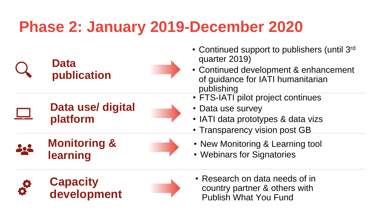## **Phase 2: January 2019-December 2020**



- Continued support to publishers (until 3 rd quarter 2019)
- Continued development & enhancement of guidance for IATI humanitarian publishing
- FTS-IATI pilot project continues
- Data use survey
- IATI data prototypes & data vizs
- Transparency vision post GB
- New Monitoring & Learning tool
- Webinars for Signatories
- Research on data needs of in country partner & others with Publish What You Fund

## **Data use/ digital platform**





**Capacity development**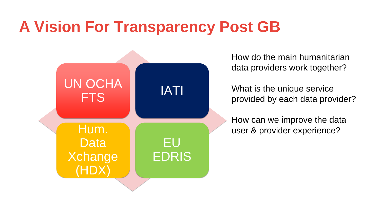# **A Vision For Transparency Post GB**



Hum. **Data** Xchange (HDX)

EU

EDRIS

How do the main humanitarian data providers work together?

What is the unique service provided by each data provider?

How can we improve the data user & provider experience?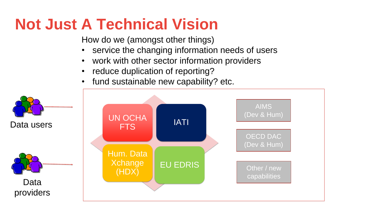# **Not Just A Technical Vision**

How do we (amongst other things)

- service the changing information needs of users
- work with other sector information providers
- reduce duplication of reporting?
- fund sustainable new capability? etc.

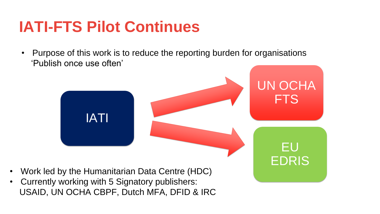## **IATI-FTS Pilot Continues**

- Work led by the Humanitarian Data Centre (HDC)
- Currently working with 5 Signatory publishers:



• Purpose of this work is to reduce the reporting burden for organisations 'Publish once use often'

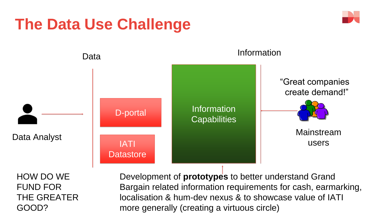

Bargain related information requirements for cash, earmarking, more generally (creating a virtuous circle)



GOOD?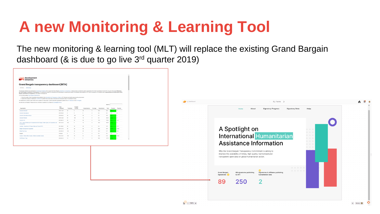# **A new Monitoring & Learning Tool**

### The new monitoring & learning tool (MLT) will replace the existing Grand Bargain dashboard (& is due to go live 3rd quarter 2019)



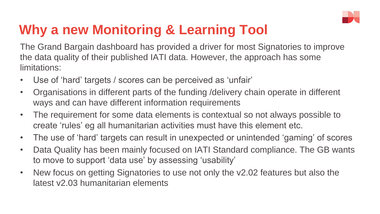The Grand Bargain dashboard has provided a driver for most Signatories to improve

the data quality of their published IATI data. However, the approach has some limitations:

- Use of 'hard' targets / scores can be perceived as 'unfair'
- Organisations in different parts of the funding /delivery chain operate in different ways and can have different information requirements
- The requirement for some data elements is contextual so not always possible to create 'rules' eg all humanitarian activities must have this element etc.
- The use of 'hard' targets can result in unexpected or unintended 'gaming' of scores
- Data Quality has been mainly focused on IATI Standard compliance. The GB wants to move to support 'data use' by assessing 'usability'
- New focus on getting Signatories to use not only the v2.02 features but also the latest v2.03 humanitarian elements



## **Why a new Monitoring & Learning Tool**